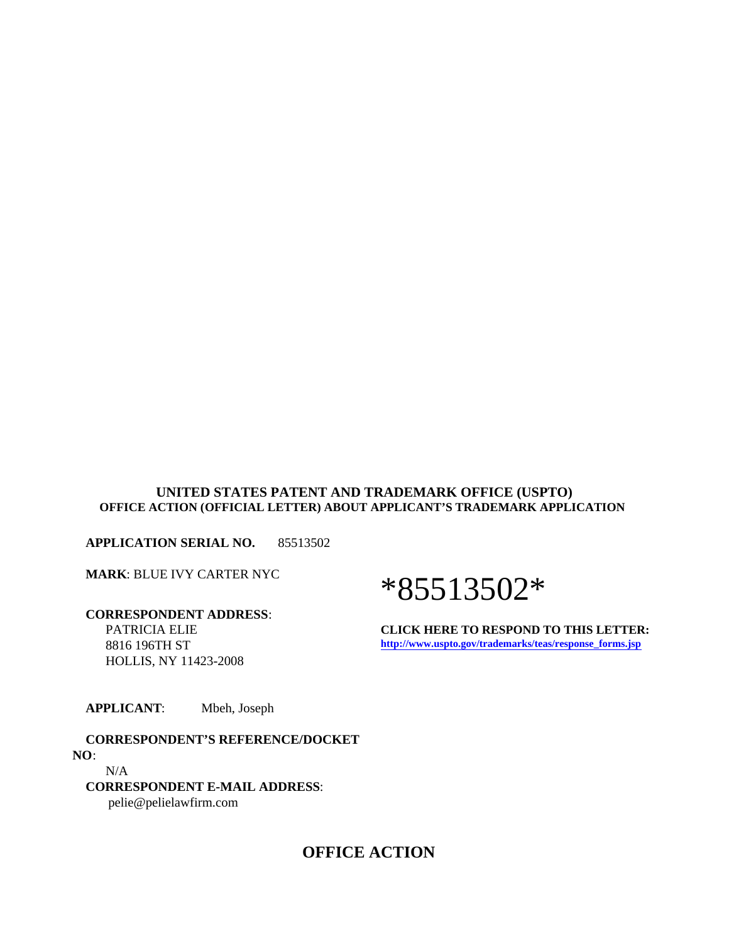#### **UNITED STATES PATENT AND TRADEMARK OFFICE (USPTO) OFFICE ACTION (OFFICIAL LETTER) ABOUT APPLICANT'S TRADEMARK APPLICATION**

**APPLICATION SERIAL NO.** 85513502

**MARK**: BLUE IVY CARTER NYC

 **CORRESPONDENT ADDRESS**: PATRICIA ELIE 8816 196TH ST HOLLIS, NY 11423-2008

# \*85513502\*

**CLICK HERE TO RESPOND TO THIS LETTER: http://www.uspto.gov/trademarks/teas/response\_forms.jsp**

**APPLICANT**: Mbeh, Joseph

 **CORRESPONDENT'S REFERENCE/DOCKET NO**: N/A **CORRESPONDENT E-MAIL ADDRESS**:

pelie@pelielawfirm.com

# **OFFICE ACTION**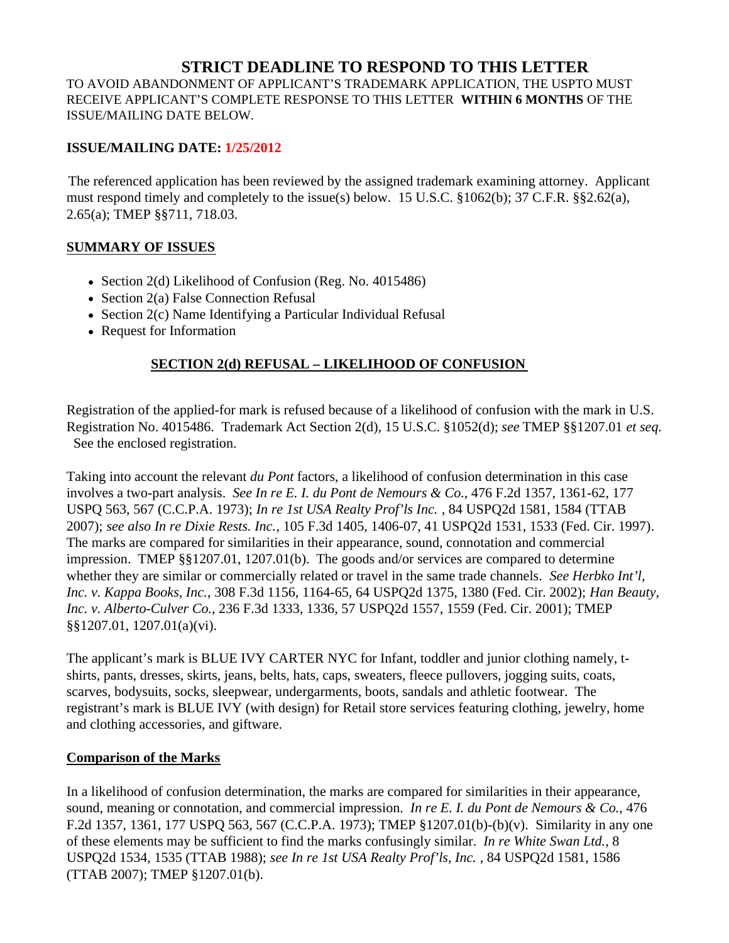# **STRICT DEADLINE TO RESPOND TO THIS LETTER**

TO AVOID ABANDONMENT OF APPLICANT'S TRADEMARK APPLICATION, THE USPTO MUST RECEIVE APPLICANT'S COMPLETE RESPONSE TO THIS LETTER **WITHIN 6 MONTHS** OF THE ISSUE/MAILING DATE BELOW.

### **ISSUE/MAILING DATE: 1/25/2012**

The referenced application has been reviewed by the assigned trademark examining attorney. Applicant must respond timely and completely to the issue(s) below. 15 U.S.C. §1062(b); 37 C.F.R. §§2.62(a), 2.65(a); TMEP §§711, 718.03.

#### **SUMMARY OF ISSUES**

- Section 2(d) Likelihood of Confusion (Reg. No. 4015486)
- Section 2(a) False Connection Refusal
- Section 2(c) Name Identifying a Particular Individual Refusal
- Request for Information

## **SECTION 2(d) REFUSAL – LIKELIHOOD OF CONFUSION**

Registration of the applied-for mark is refused because of a likelihood of confusion with the mark in U.S. Registration No. 4015486. Trademark Act Section 2(d), 15 U.S.C. §1052(d); *see* TMEP §§1207.01 *et seq.* See the enclosed registration.

Taking into account the relevant *du Pont* factors, a likelihood of confusion determination in this case involves a two-part analysis. *See In re E. I. du Pont de Nemours & Co.*, 476 F.2d 1357, 1361-62, 177 USPQ 563, 567 (C.C.P.A. 1973); *In re 1st USA Realty Prof'ls Inc.* , 84 USPQ2d 1581, 1584 (TTAB 2007); *see also In re Dixie Rests. Inc.*, 105 F.3d 1405, 1406-07, 41 USPQ2d 1531, 1533 (Fed. Cir. 1997). The marks are compared for similarities in their appearance, sound, connotation and commercial impression. TMEP §§1207.01, 1207.01(b). The goods and/or services are compared to determine whether they are similar or commercially related or travel in the same trade channels. *See Herbko Int'l, Inc. v. Kappa Books, Inc.*, 308 F.3d 1156, 1164-65, 64 USPQ2d 1375, 1380 (Fed. Cir. 2002); *Han Beauty, Inc. v. Alberto-Culver Co.*, 236 F.3d 1333, 1336, 57 USPQ2d 1557, 1559 (Fed. Cir. 2001); TMEP §§1207.01, 1207.01(a)(vi).

The applicant's mark is BLUE IVY CARTER NYC for Infant, toddler and junior clothing namely, tshirts, pants, dresses, skirts, jeans, belts, hats, caps, sweaters, fleece pullovers, jogging suits, coats, scarves, bodysuits, socks, sleepwear, undergarments, boots, sandals and athletic footwear. The registrant's mark is BLUE IVY (with design) for Retail store services featuring clothing, jewelry, home and clothing accessories, and giftware.

#### **Comparison of the Marks**

In a likelihood of confusion determination, the marks are compared for similarities in their appearance, sound, meaning or connotation, and commercial impression. *In re E. I. du Pont de Nemours & Co.*, 476 F.2d 1357, 1361, 177 USPQ 563, 567 (C.C.P.A. 1973); TMEP §1207.01(b)-(b)(v). Similarity in any one of these elements may be sufficient to find the marks confusingly similar. *In re White Swan Ltd.*, 8 USPQ2d 1534, 1535 (TTAB 1988); *see In re 1st USA Realty Prof'ls, Inc.* , 84 USPQ2d 1581, 1586 (TTAB 2007); TMEP §1207.01(b).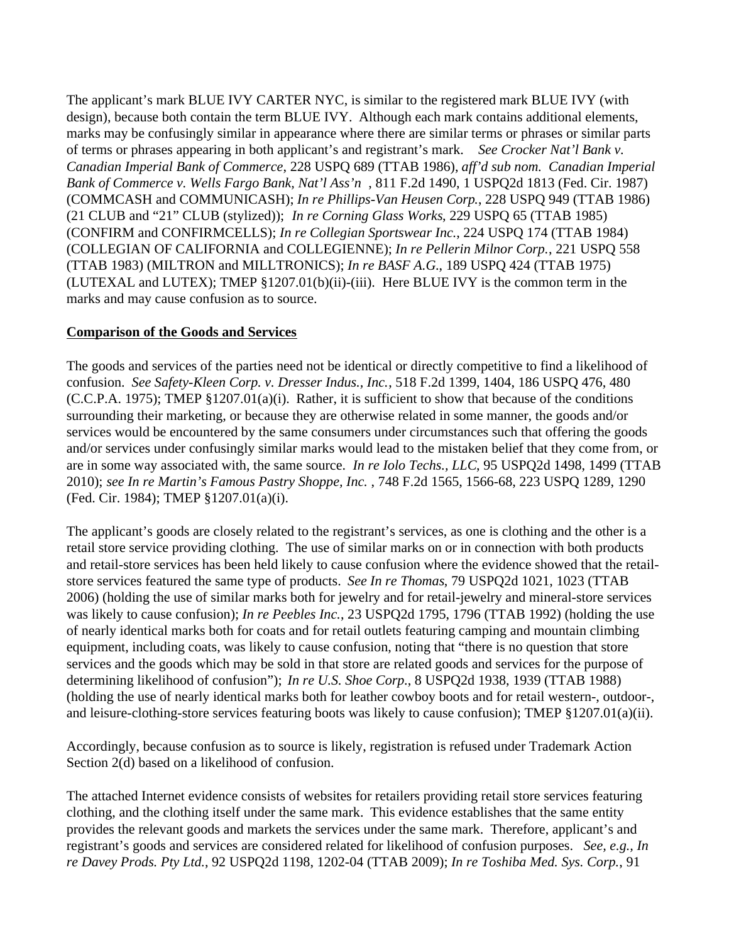The applicant's mark BLUE IVY CARTER NYC, is similar to the registered mark BLUE IVY (with design), because both contain the term BLUE IVY. Although each mark contains additional elements, marks may be confusingly similar in appearance where there are similar terms or phrases or similar parts of terms or phrases appearing in both applicant's and registrant's mark. *See Crocker Nat'l Bank v. Canadian Imperial Bank of Commerce*, 228 USPQ 689 (TTAB 1986), *aff'd sub nom. Canadian Imperial Bank of Commerce v. Wells Fargo Bank, Nat'l Ass'n* , 811 F.2d 1490, 1 USPQ2d 1813 (Fed. Cir. 1987) (COMMCASH and COMMUNICASH); *In re Phillips-Van Heusen Corp.*, 228 USPQ 949 (TTAB 1986) (21 CLUB and "21" CLUB (stylized)); *In re Corning Glass Works*, 229 USPQ 65 (TTAB 1985) (CONFIRM and CONFIRMCELLS); *In re Collegian Sportswear Inc.*, 224 USPQ 174 (TTAB 1984) (COLLEGIAN OF CALIFORNIA and COLLEGIENNE); *In re Pellerin Milnor Corp.*, 221 USPQ 558 (TTAB 1983) (MILTRON and MILLTRONICS); *In re BASF A.G.*, 189 USPQ 424 (TTAB 1975) (LUTEXAL and LUTEX); TMEP §1207.01(b)(ii)-(iii). Here BLUE IVY is the common term in the marks and may cause confusion as to source.

#### **Comparison of the Goods and Services**

The goods and services of the parties need not be identical or directly competitive to find a likelihood of confusion. *See Safety-Kleen Corp. v. Dresser Indus., Inc.*, 518 F.2d 1399, 1404, 186 USPQ 476, 480 (C.C.P.A. 1975); TMEP §1207.01(a)(i). Rather, it is sufficient to show that because of the conditions surrounding their marketing, or because they are otherwise related in some manner, the goods and/or services would be encountered by the same consumers under circumstances such that offering the goods and/or services under confusingly similar marks would lead to the mistaken belief that they come from, or are in some way associated with, the same source. *In re Iolo Techs., LLC*, 95 USPQ2d 1498, 1499 (TTAB 2010); *see In re Martin's Famous Pastry Shoppe, Inc.* , 748 F.2d 1565, 1566-68, 223 USPQ 1289, 1290 (Fed. Cir. 1984); TMEP §1207.01(a)(i).

The applicant's goods are closely related to the registrant's services, as one is clothing and the other is a retail store service providing clothing. The use of similar marks on or in connection with both products and retail-store services has been held likely to cause confusion where the evidence showed that the retailstore services featured the same type of products. *See In re Thomas*, 79 USPQ2d 1021, 1023 (TTAB 2006) (holding the use of similar marks both for jewelry and for retail-jewelry and mineral-store services was likely to cause confusion); *In re Peebles Inc.*, 23 USPQ2d 1795, 1796 (TTAB 1992) (holding the use of nearly identical marks both for coats and for retail outlets featuring camping and mountain climbing equipment, including coats, was likely to cause confusion, noting that "there is no question that store services and the goods which may be sold in that store are related goods and services for the purpose of determining likelihood of confusion"); *In re U.S. Shoe Corp.*, 8 USPQ2d 1938, 1939 (TTAB 1988) (holding the use of nearly identical marks both for leather cowboy boots and for retail western-, outdoor-, and leisure-clothing-store services featuring boots was likely to cause confusion); TMEP §1207.01(a)(ii).

Accordingly, because confusion as to source is likely, registration is refused under Trademark Action Section 2(d) based on a likelihood of confusion.

The attached Internet evidence consists of websites for retailers providing retail store services featuring clothing, and the clothing itself under the same mark. This evidence establishes that the same entity provides the relevant goods and markets the services under the same mark. Therefore, applicant's and registrant's goods and services are considered related for likelihood of confusion purposes. *See, e.g., In re Davey Prods. Pty Ltd.*, 92 USPQ2d 1198, 1202-04 (TTAB 2009); *In re Toshiba Med. Sys. Corp.*, 91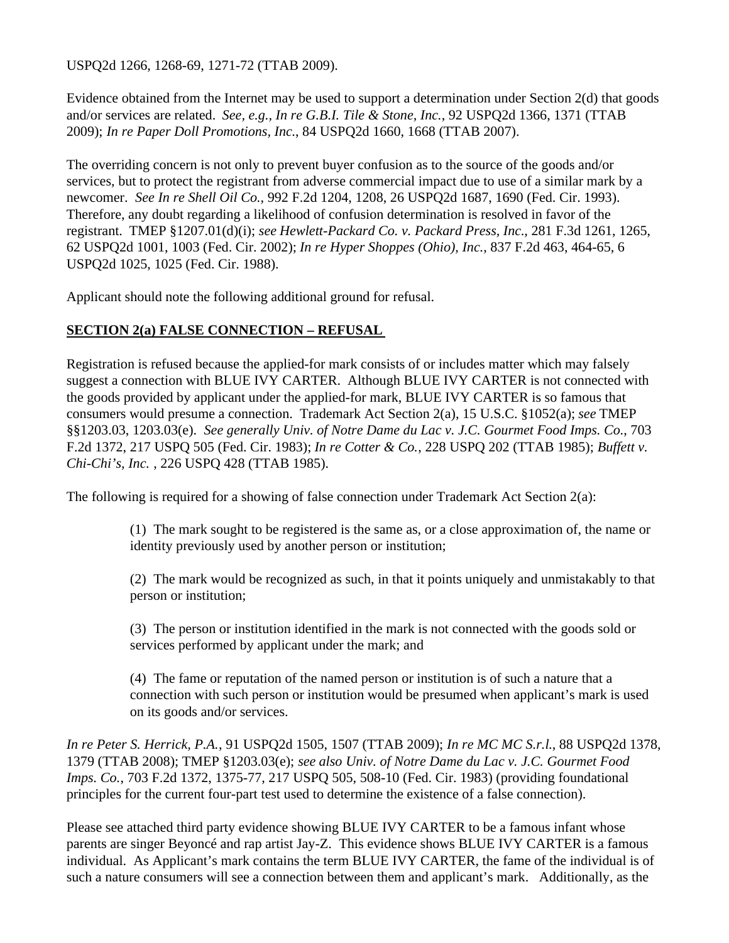USPQ2d 1266, 1268-69, 1271-72 (TTAB 2009).

Evidence obtained from the Internet may be used to support a determination under Section 2(d) that goods and/or services are related. *See, e.g., In re G.B.I. Tile & Stone, Inc.*, 92 USPQ2d 1366, 1371 (TTAB 2009); *In re Paper Doll Promotions, Inc.*, 84 USPQ2d 1660, 1668 (TTAB 2007).

The overriding concern is not only to prevent buyer confusion as to the source of the goods and/or services, but to protect the registrant from adverse commercial impact due to use of a similar mark by a newcomer. *See In re Shell Oil Co.*, 992 F.2d 1204, 1208, 26 USPQ2d 1687, 1690 (Fed. Cir. 1993). Therefore, any doubt regarding a likelihood of confusion determination is resolved in favor of the registrant. TMEP §1207.01(d)(i); *see Hewlett-Packard Co. v. Packard Press, Inc.*, 281 F.3d 1261, 1265, 62 USPQ2d 1001, 1003 (Fed. Cir. 2002); *In re Hyper Shoppes (Ohio), Inc.*, 837 F.2d 463, 464-65, 6 USPQ2d 1025, 1025 (Fed. Cir. 1988).

Applicant should note the following additional ground for refusal.

## **SECTION 2(a) FALSE CONNECTION – REFUSAL**

Registration is refused because the applied-for mark consists of or includes matter which may falsely suggest a connection with BLUE IVY CARTER. Although BLUE IVY CARTER is not connected with the goods provided by applicant under the applied-for mark, BLUE IVY CARTER is so famous that consumers would presume a connection. Trademark Act Section 2(a), 15 U.S.C. §1052(a); *see* TMEP §§1203.03, 1203.03(e). *See generally Univ. of Notre Dame du Lac v. J.C. Gourmet Food Imps. Co.*, 703 F.2d 1372, 217 USPQ 505 (Fed. Cir. 1983); *In re Cotter & Co.*, 228 USPQ 202 (TTAB 1985); *Buffett v. Chi-Chi's, Inc.* , 226 USPQ 428 (TTAB 1985).

The following is required for a showing of false connection under Trademark Act Section 2(a):

(1) The mark sought to be registered is the same as, or a close approximation of, the name or identity previously used by another person or institution;

(2) The mark would be recognized as such, in that it points uniquely and unmistakably to that person or institution;

(3) The person or institution identified in the mark is not connected with the goods sold or services performed by applicant under the mark; and

(4) The fame or reputation of the named person or institution is of such a nature that a connection with such person or institution would be presumed when applicant's mark is used on its goods and/or services.

*In re Peter S. Herrick, P.A.*, 91 USPQ2d 1505, 1507 (TTAB 2009); *In re MC MC S.r.l.*, 88 USPQ2d 1378, 1379 (TTAB 2008); TMEP §1203.03(e); *see also Univ. of Notre Dame du Lac v. J.C. Gourmet Food Imps. Co.*, 703 F.2d 1372, 1375-77, 217 USPQ 505, 508-10 (Fed. Cir. 1983) (providing foundational principles for the current four-part test used to determine the existence of a false connection).

Please see attached third party evidence showing BLUE IVY CARTER to be a famous infant whose parents are singer Beyoncé and rap artist Jay-Z. This evidence shows BLUE IVY CARTER is a famous individual. As Applicant's mark contains the term BLUE IVY CARTER, the fame of the individual is of such a nature consumers will see a connection between them and applicant's mark. Additionally, as the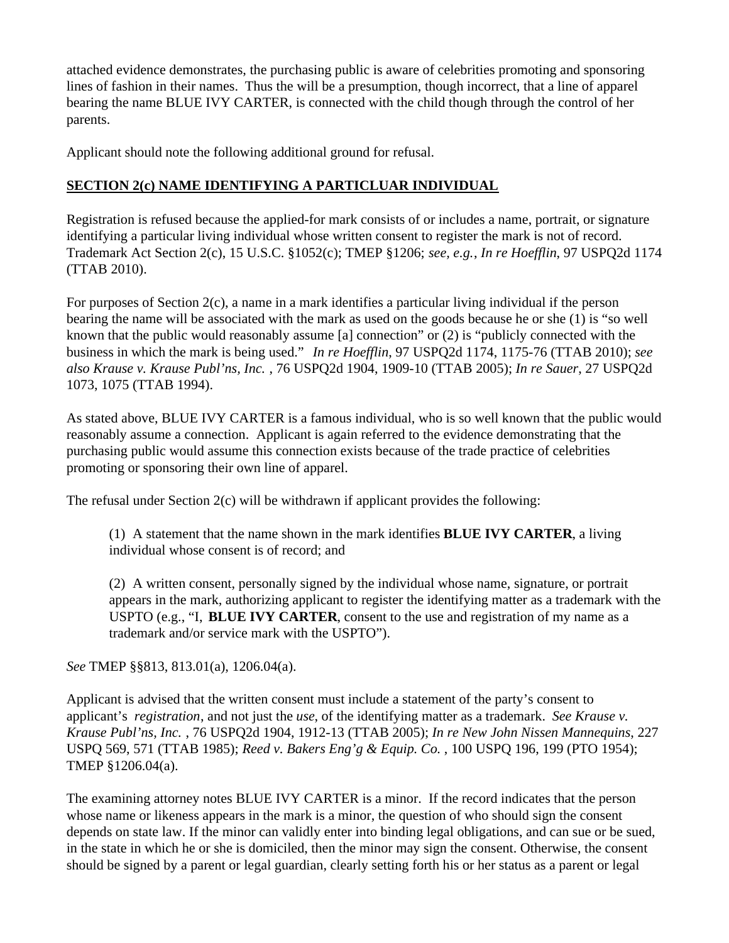attached evidence demonstrates, the purchasing public is aware of celebrities promoting and sponsoring lines of fashion in their names. Thus the will be a presumption, though incorrect, that a line of apparel bearing the name BLUE IVY CARTER, is connected with the child though through the control of her parents.

Applicant should note the following additional ground for refusal.

# **SECTION 2(c) NAME IDENTIFYING A PARTICLUAR INDIVIDUAL**

Registration is refused because the applied-for mark consists of or includes a name, portrait, or signature identifying a particular living individual whose written consent to register the mark is not of record. Trademark Act Section 2(c), 15 U.S.C. §1052(c); TMEP §1206; *see, e.g.*, *In re Hoefflin*, 97 USPQ2d 1174 (TTAB 2010).

For purposes of Section 2(c), a name in a mark identifies a particular living individual if the person bearing the name will be associated with the mark as used on the goods because he or she (1) is "so well known that the public would reasonably assume [a] connection" or (2) is "publicly connected with the business in which the mark is being used." *In re Hoefflin*, 97 USPQ2d 1174, 1175-76 (TTAB 2010); *see also Krause v. Krause Publ'ns, Inc.* , 76 USPQ2d 1904, 1909-10 (TTAB 2005); *In re Sauer*, 27 USPQ2d 1073, 1075 (TTAB 1994).

As stated above, BLUE IVY CARTER is a famous individual, who is so well known that the public would reasonably assume a connection. Applicant is again referred to the evidence demonstrating that the purchasing public would assume this connection exists because of the trade practice of celebrities promoting or sponsoring their own line of apparel.

The refusal under Section 2(c) will be withdrawn if applicant provides the following:

(1) A statement that the name shown in the mark identifies **BLUE IVY CARTER**, a living individual whose consent is of record; and

(2) A written consent, personally signed by the individual whose name, signature, or portrait appears in the mark, authorizing applicant to register the identifying matter as a trademark with the USPTO (e.g., "I, **BLUE IVY CARTER**, consent to the use and registration of my name as a trademark and/or service mark with the USPTO").

*See* TMEP §§813, 813.01(a), 1206.04(a).

Applicant is advised that the written consent must include a statement of the party's consent to applicant's *registration*, and not just the *use*, of the identifying matter as a trademark. *See Krause v. Krause Publ'ns, Inc.* , 76 USPQ2d 1904, 1912-13 (TTAB 2005); *In re New John Nissen Mannequins*, 227 USPQ 569, 571 (TTAB 1985); *Reed v. Bakers Eng'g & Equip. Co.* , 100 USPQ 196, 199 (PTO 1954); TMEP §1206.04(a).

The examining attorney notes BLUE IVY CARTER is a minor. If the record indicates that the person whose name or likeness appears in the mark is a minor, the question of who should sign the consent depends on state law. If the minor can validly enter into binding legal obligations, and can sue or be sued, in the state in which he or she is domiciled, then the minor may sign the consent. Otherwise, the consent should be signed by a parent or legal guardian, clearly setting forth his or her status as a parent or legal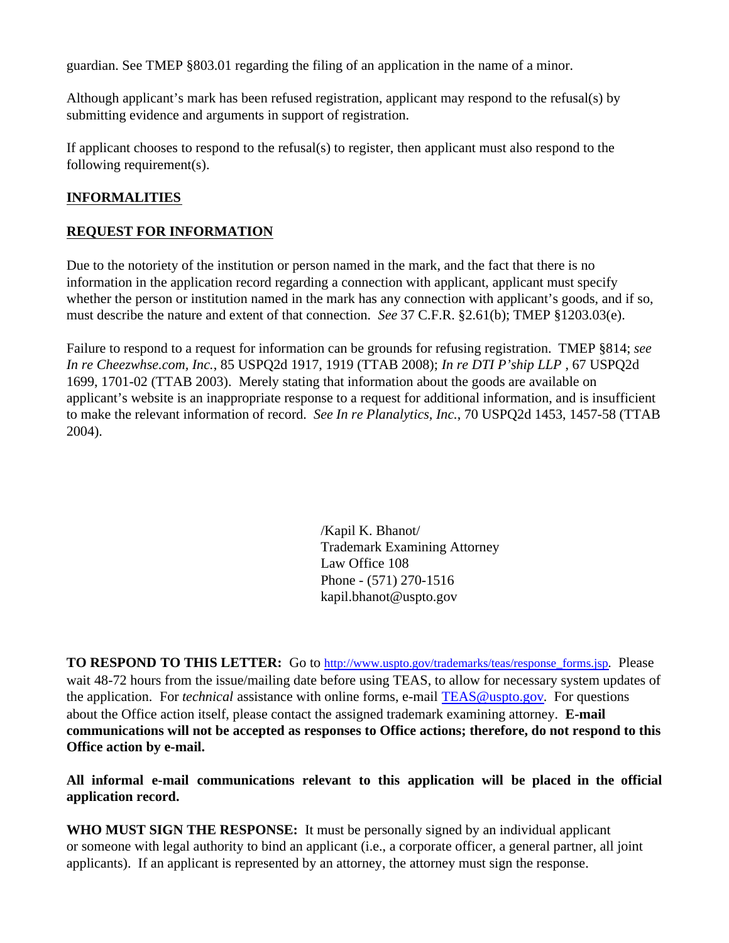guardian. See TMEP §803.01 regarding the filing of an application in the name of a minor.

Although applicant's mark has been refused registration, applicant may respond to the refusal(s) by submitting evidence and arguments in support of registration.

If applicant chooses to respond to the refusal(s) to register, then applicant must also respond to the following requirement(s).

## **INFORMALITIES**

## **REQUEST FOR INFORMATION**

Due to the notoriety of the institution or person named in the mark, and the fact that there is no information in the application record regarding a connection with applicant, applicant must specify whether the person or institution named in the mark has any connection with applicant's goods, and if so, must describe the nature and extent of that connection. *See* 37 C.F.R. §2.61(b); TMEP §1203.03(e).

Failure to respond to a request for information can be grounds for refusing registration. TMEP §814; *see In re Cheezwhse.com, Inc.*, 85 USPQ2d 1917, 1919 (TTAB 2008); *In re DTI P'ship LLP* , 67 USPQ2d 1699, 1701-02 (TTAB 2003). Merely stating that information about the goods are available on applicant's website is an inappropriate response to a request for additional information, and is insufficient to make the relevant information of record. *See In re Planalytics, Inc.*, 70 USPQ2d 1453, 1457-58 (TTAB 2004).

> /Kapil K. Bhanot/ Trademark Examining Attorney Law Office 108 Phone - (571) 270-1516 kapil.bhanot@uspto.gov

**TO RESPOND TO THIS LETTER:** Go to http://www.uspto.gov/trademarks/teas/response\_forms.jsp. Please wait 48-72 hours from the issue/mailing date before using TEAS, to allow for necessary system updates of the application. For *technical* assistance with online forms, e-mail TEAS@uspto.gov. For questions about the Office action itself, please contact the assigned trademark examining attorney. **E-mail communications will not be accepted as responses to Office actions; therefore, do not respond to this Office action by e-mail.**

**All informal e-mail communications relevant to this application will be placed in the official application record.**

**WHO MUST SIGN THE RESPONSE:** It must be personally signed by an individual applicant or someone with legal authority to bind an applicant (i.e., a corporate officer, a general partner, all joint applicants). If an applicant is represented by an attorney, the attorney must sign the response.